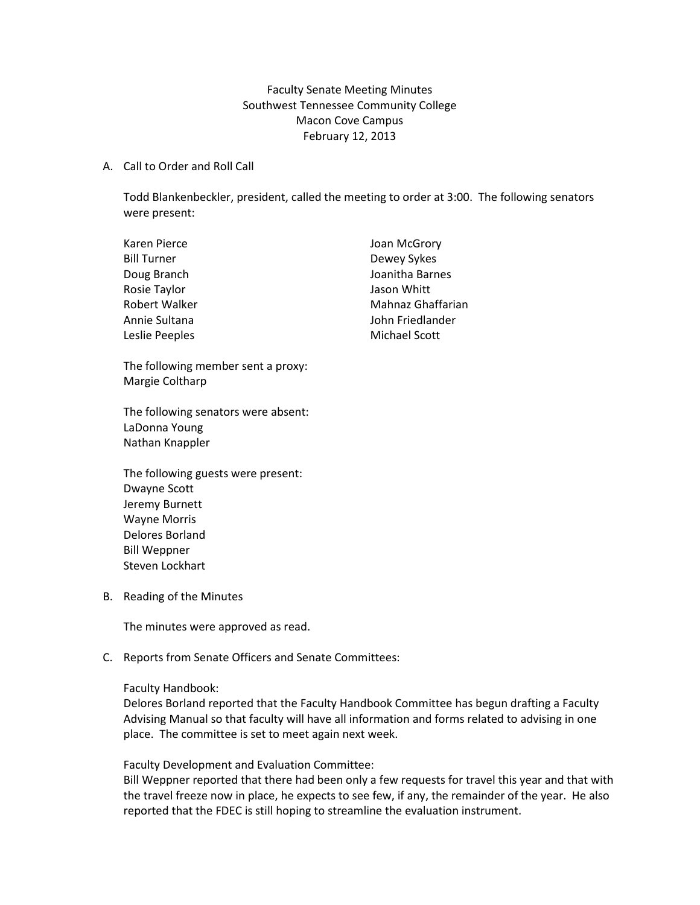Faculty Senate Meeting Minutes Southwest Tennessee Community College Macon Cove Campus February 12, 2013

## A. Call to Order and Roll Call

Todd Blankenbeckler, president, called the meeting to order at 3:00. The following senators were present:

| Karen Pierce       | Joan McGrory         |
|--------------------|----------------------|
| <b>Bill Turner</b> | Dewey Sykes          |
| Doug Branch        | Joanitha Barnes      |
| Rosie Taylor       | Jason Whitt          |
| Robert Walker      | Mahnaz Ghaffarian    |
| Annie Sultana      | John Friedlander     |
| Leslie Peeples     | <b>Michael Scott</b> |

The following member sent a proxy: Margie Coltharp

The following senators were absent: LaDonna Young Nathan Knappler

The following guests were present: Dwayne Scott Jeremy Burnett Wayne Morris Delores Borland Bill Weppner Steven Lockhart

B. Reading of the Minutes

The minutes were approved as read.

C. Reports from Senate Officers and Senate Committees:

## Faculty Handbook:

Delores Borland reported that the Faculty Handbook Committee has begun drafting a Faculty Advising Manual so that faculty will have all information and forms related to advising in one place. The committee is set to meet again next week.

Faculty Development and Evaluation Committee:

Bill Weppner reported that there had been only a few requests for travel this year and that with the travel freeze now in place, he expects to see few, if any, the remainder of the year. He also reported that the FDEC is still hoping to streamline the evaluation instrument.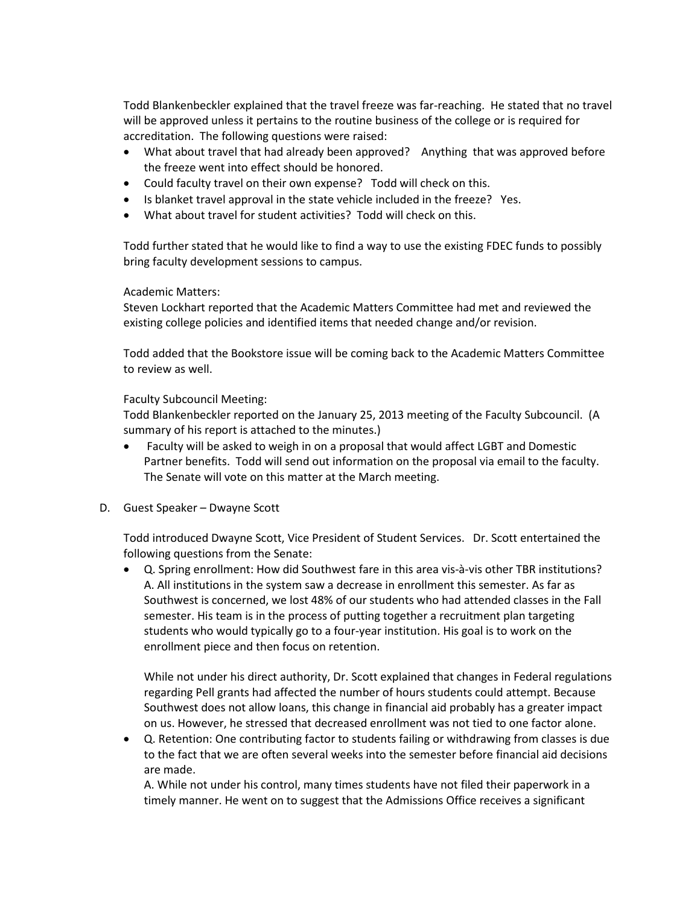Todd Blankenbeckler explained that the travel freeze was far-reaching. He stated that no travel will be approved unless it pertains to the routine business of the college or is required for accreditation. The following questions were raised:

- What about travel that had already been approved? Anything that was approved before the freeze went into effect should be honored.
- Could faculty travel on their own expense? Todd will check on this.
- Is blanket travel approval in the state vehicle included in the freeze? Yes.
- What about travel for student activities? Todd will check on this.

Todd further stated that he would like to find a way to use the existing FDEC funds to possibly bring faculty development sessions to campus.

## Academic Matters:

Steven Lockhart reported that the Academic Matters Committee had met and reviewed the existing college policies and identified items that needed change and/or revision.

Todd added that the Bookstore issue will be coming back to the Academic Matters Committee to review as well.

## Faculty Subcouncil Meeting:

Todd Blankenbeckler reported on the January 25, 2013 meeting of the Faculty Subcouncil. (A summary of his report is attached to the minutes.)

- Faculty will be asked to weigh in on a proposal that would affect LGBT and Domestic Partner benefits. Todd will send out information on the proposal via email to the faculty. The Senate will vote on this matter at the March meeting.
- D. Guest Speaker Dwayne Scott

Todd introduced Dwayne Scott, Vice President of Student Services. Dr. Scott entertained the following questions from the Senate:

• Q. Spring enrollment: How did Southwest fare in this area vis-à-vis other TBR institutions? A. All institutions in the system saw a decrease in enrollment this semester. As far as Southwest is concerned, we lost 48% of our students who had attended classes in the Fall semester. His team is in the process of putting together a recruitment plan targeting students who would typically go to a four-year institution. His goal is to work on the enrollment piece and then focus on retention.

While not under his direct authority, Dr. Scott explained that changes in Federal regulations regarding Pell grants had affected the number of hours students could attempt. Because Southwest does not allow loans, this change in financial aid probably has a greater impact on us. However, he stressed that decreased enrollment was not tied to one factor alone.

• Q. Retention: One contributing factor to students failing or withdrawing from classes is due to the fact that we are often several weeks into the semester before financial aid decisions are made.

A. While not under his control, many times students have not filed their paperwork in a timely manner. He went on to suggest that the Admissions Office receives a significant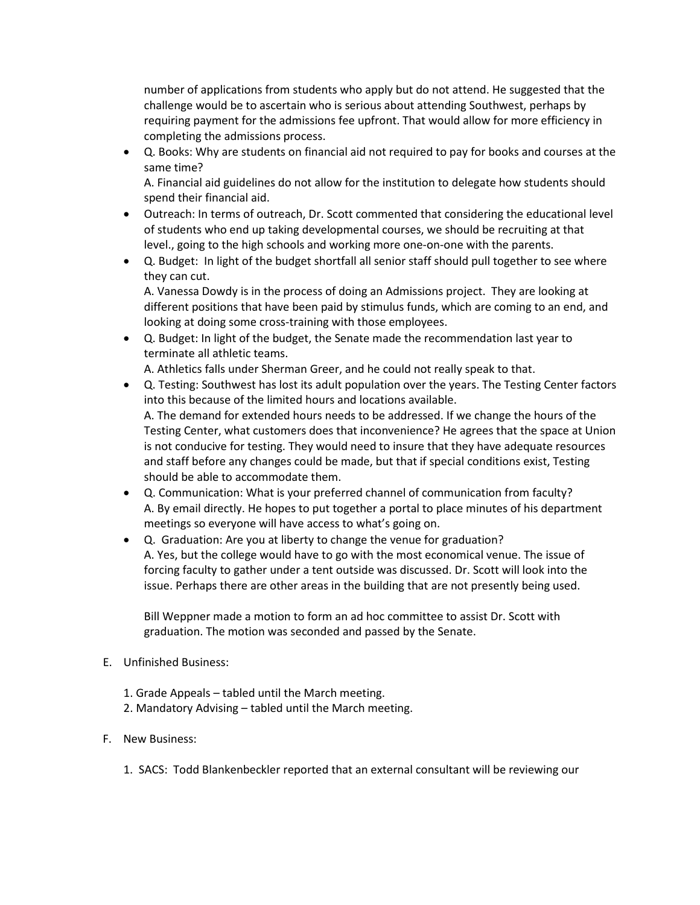number of applications from students who apply but do not attend. He suggested that the challenge would be to ascertain who is serious about attending Southwest, perhaps by requiring payment for the admissions fee upfront. That would allow for more efficiency in completing the admissions process.

• Q. Books: Why are students on financial aid not required to pay for books and courses at the same time?

A. Financial aid guidelines do not allow for the institution to delegate how students should spend their financial aid.

- Outreach: In terms of outreach, Dr. Scott commented that considering the educational level of students who end up taking developmental courses, we should be recruiting at that level., going to the high schools and working more one-on-one with the parents.
- Q. Budget: In light of the budget shortfall all senior staff should pull together to see where they can cut.

A. Vanessa Dowdy is in the process of doing an Admissions project. They are looking at different positions that have been paid by stimulus funds, which are coming to an end, and looking at doing some cross-training with those employees.

• Q. Budget: In light of the budget, the Senate made the recommendation last year to terminate all athletic teams.

A. Athletics falls under Sherman Greer, and he could not really speak to that.

- Q. Testing: Southwest has lost its adult population over the years. The Testing Center factors into this because of the limited hours and locations available. A. The demand for extended hours needs to be addressed. If we change the hours of the Testing Center, what customers does that inconvenience? He agrees that the space at Union is not conducive for testing. They would need to insure that they have adequate resources and staff before any changes could be made, but that if special conditions exist, Testing should be able to accommodate them.
- Q. Communication: What is your preferred channel of communication from faculty? A. By email directly. He hopes to put together a portal to place minutes of his department meetings so everyone will have access to what's going on.
- Q. Graduation: Are you at liberty to change the venue for graduation? A. Yes, but the college would have to go with the most economical venue. The issue of forcing faculty to gather under a tent outside was discussed. Dr. Scott will look into the issue. Perhaps there are other areas in the building that are not presently being used.

Bill Weppner made a motion to form an ad hoc committee to assist Dr. Scott with graduation. The motion was seconded and passed by the Senate.

- E. Unfinished Business:
	- 1. Grade Appeals tabled until the March meeting.
	- 2. Mandatory Advising tabled until the March meeting.
- F. New Business:
	- 1. SACS: Todd Blankenbeckler reported that an external consultant will be reviewing our